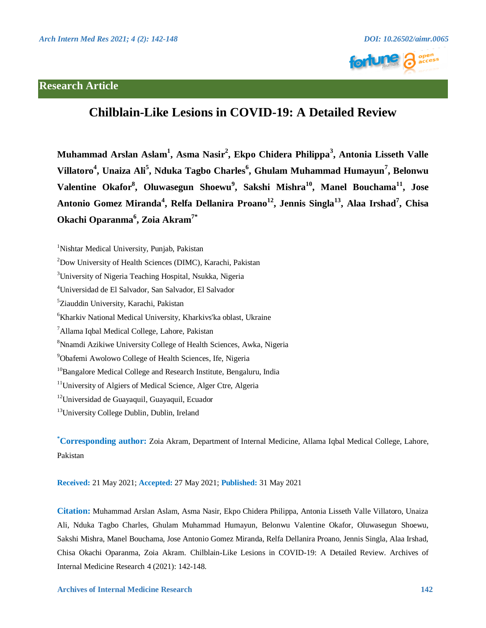

# **Research Article**

# **Chilblain-Like Lesions in COVID-19: A Detailed Review**

**Muhammad Arslan Aslam<sup>1</sup> , Asma Nasir2 , Ekpo Chidera Philippa<sup>3</sup> , Antonia Lisseth Valle Villatoro<sup>4</sup> , Unaiza Ali<sup>5</sup> , Nduka Tagbo Charles<sup>6</sup> , Ghulam Muhammad Humayun<sup>7</sup> , Belonwu Valentine Okafor8 , Oluwasegun Shoewu<sup>9</sup> , Sakshi Mishra10, Manel Bouchama11, Jose Antonio Gomez Miranda<sup>4</sup> , Relfa Dellanira Proano12, Jennis Singla13, Alaa Irshad7 , Chisa Okachi Oparanma<sup>6</sup> , Zoia Akram7\***

- <sup>3</sup>University of Nigeria Teaching Hospital, Nsukka, Nigeria
- 4 Universidad de El Salvador, San Salvador, El Salvador
- 5 Ziauddin University, Karachi, Pakistan
- 6 Kharkiv National Medical University, Kharkivs'ka oblast, Ukraine
- 7 Allama Iqbal Medical College, Lahore, Pakistan
- 8 Nnamdi Azikiwe University College of Health Sciences, Awka, Nigeria
- 9 Obafemi Awolowo College of Health Sciences, Ife, Nigeria
- <sup>10</sup>Bangalore Medical College and Research Institute, Bengaluru, India
- <sup>11</sup>University of Algiers of Medical Science, Alger Ctre, Algeria
- <sup>12</sup>Universidad de Guayaquil, Guayaquil, Ecuador

<sup>13</sup> University College Dublin, Dublin, Ireland

**\* Corresponding author:** Zoia Akram, Department of Internal Medicine, Allama Iqbal Medical College, Lahore, Pakistan

**Received:** 21 May 2021; **Accepted:** 27 May 2021; **Published:** 31 May 2021

**Citation:** Muhammad Arslan Aslam, Asma Nasir, Ekpo Chidera Philippa, Antonia Lisseth Valle Villatoro, Unaiza Ali, Nduka Tagbo Charles, Ghulam Muhammad Humayun, Belonwu Valentine Okafor, Oluwasegun Shoewu, Sakshi Mishra, Manel Bouchama, Jose Antonio Gomez Miranda, Relfa Dellanira Proano, Jennis Singla, Alaa Irshad, Chisa Okachi Oparanma, Zoia Akram. Chilblain-Like Lesions in COVID-19: A Detailed Review. Archives of Internal Medicine Research 4 (2021): 142-148.

<sup>&</sup>lt;sup>1</sup>Nishtar Medical University, Punjab, Pakistan

<sup>2</sup> Dow University of Health Sciences (DIMC), Karachi, Pakistan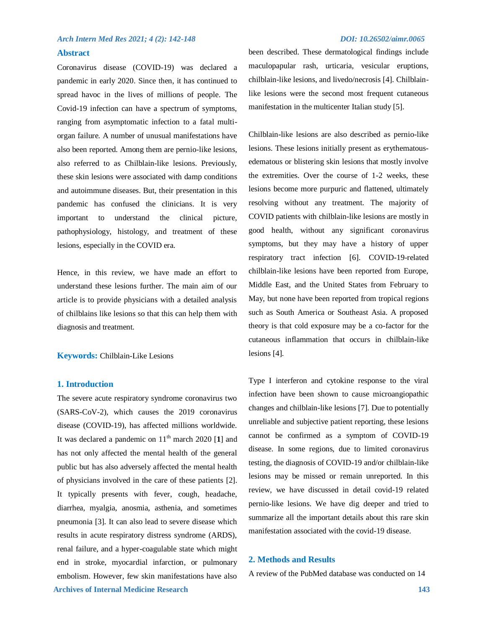# **Abstract**

Coronavirus disease (COVID-19) was declared a pandemic in early 2020. Since then, it has continued to spread havoc in the lives of millions of people. The Covid-19 infection can have a spectrum of symptoms, ranging from asymptomatic infection to a fatal multiorgan failure. A number of unusual manifestations have also been reported. Among them are pernio-like lesions, also referred to as Chilblain-like lesions. Previously, these skin lesions were associated with damp conditions and autoimmune diseases. But, their presentation in this pandemic has confused the clinicians. It is very important to understand the clinical picture, pathophysiology, histology, and treatment of these lesions, especially in the COVID era.

Hence, in this review, we have made an effort to understand these lesions further. The main aim of our article is to provide physicians with a detailed analysis of chilblains like lesions so that this can help them with diagnosis and treatment.

**Keywords:** Chilblain-Like Lesions

# **1. Introduction**

 **Archives of Internal Medicine Research 143** The severe acute respiratory syndrome coronavirus two (SARS-CoV-2), which causes the 2019 coronavirus disease (COVID-19), has affected millions worldwide. It was declared a pandemic on  $11<sup>th</sup>$  march 2020 [1] and has not only affected the mental health of the general public but has also adversely affected the mental health of physicians involved in the care of these patients [2]. It typically presents with fever, cough, headache, diarrhea, myalgia, anosmia, asthenia, and sometimes pneumonia [3]. It can also lead to severe disease which results in acute respiratory distress syndrome (ARDS), renal failure, and a hyper-coagulable state which might end in stroke, myocardial infarction, or pulmonary embolism. However, few skin manifestations have also

been described. These dermatological findings include maculopapular rash, urticaria, vesicular eruptions, chilblain-like lesions, and livedo/necrosis [4]. Chilblainlike lesions were the second most frequent cutaneous manifestation in the multicenter Italian study [5].

Chilblain-like lesions are also described as pernio-like lesions. These lesions initially present as erythematousedematous or blistering skin lesions that mostly involve the extremities. Over the course of 1-2 weeks, these lesions become more purpuric and flattened, ultimately resolving without any treatment. The majority of COVID patients with chilblain-like lesions are mostly in good health, without any significant coronavirus symptoms, but they may have a history of upper respiratory tract infection [6]. COVID-19-related chilblain-like lesions have been reported from Europe, Middle East, and the United States from February to May, but none have been reported from tropical regions such as South America or Southeast Asia. A proposed theory is that cold exposure may be a co-factor for the cutaneous inflammation that occurs in chilblain-like lesions [4].

Type I interferon and cytokine response to the viral infection have been shown to cause microangiopathic changes and chilblain-like lesions [7]. Due to potentially unreliable and subjective patient reporting, these lesions cannot be confirmed as a symptom of COVID-19 disease. In some regions, due to limited coronavirus testing, the diagnosis of COVID-19 and/or chilblain-like lesions may be missed or remain unreported. In this review, we have discussed in detail covid-19 related pernio-like lesions. We have dig deeper and tried to summarize all the important details about this rare skin manifestation associated with the covid-19 disease.

# **2. Methods and Results**

A review of the PubMed database was conducted on 14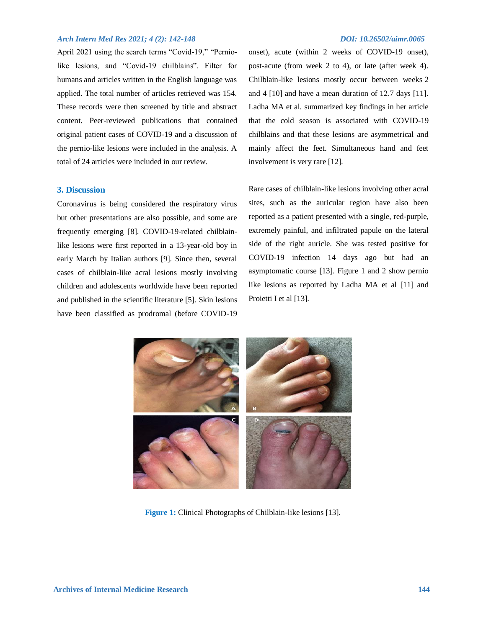April 2021 using the search terms "Covid-19," "Perniolike lesions, and "Covid-19 chilblains". Filter for humans and articles written in the English language was applied. The total number of articles retrieved was 154. These records were then screened by title and abstract content. Peer-reviewed publications that contained original patient cases of COVID-19 and a discussion of the pernio-like lesions were included in the analysis. A total of 24 articles were included in our review.

## **3. Discussion**

Coronavirus is being considered the respiratory virus but other presentations are also possible, and some are frequently emerging [8]. COVID-19-related chilblainlike lesions were first reported in a 13-year-old boy in early March by Italian authors [9]. Since then, several cases of chilblain-like acral lesions mostly involving children and adolescents worldwide have been reported and published in the scientific literature [5]. Skin lesions have been classified as prodromal (before COVID-19

onset), acute (within 2 weeks of COVID-19 onset), post-acute (from week 2 to 4), or late (after week 4). Chilblain-like lesions mostly occur between weeks 2 and 4 [10] and have a mean duration of 12.7 days [11]. Ladha MA et al. summarized key findings in her article that the cold season is associated with COVID-19 chilblains and that these lesions are asymmetrical and mainly affect the feet. Simultaneous hand and feet involvement is very rare [12].

Rare cases of chilblain-like lesions involving other acral sites, such as the auricular region have also been reported as a patient presented with a single, red-purple, extremely painful, and infiltrated papule on the lateral side of the right auricle. She was tested positive for COVID-19 infection 14 days ago but had an asymptomatic course [13]. Figure 1 and 2 show pernio like lesions as reported by Ladha MA et al [11] and Proietti I et al [13].



**Figure 1:** Clinical Photographs of Chilblain-like lesions [13].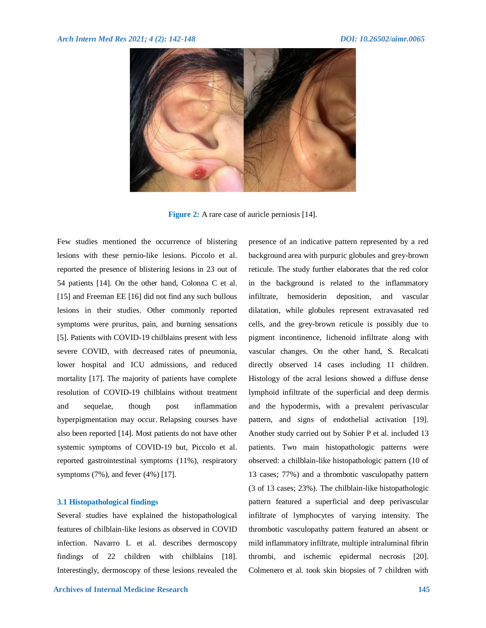

**Figure 2:** A rare case of auricle perniosis [14].

Few studies mentioned the occurrence of blistering lesions with these pernio-like lesions. Piccolo et al. reported the presence of blistering lesions in 23 out of 54 patients [14]. On the other hand, Colonna C et al. [15] and Freeman EE [16] did not find any such bullous lesions in their studies. Other commonly reported symptoms were pruritus, pain, and burning sensations [5]. Patients with COVID-19 chilblains present with less severe COVID, with decreased rates of pneumonia, lower hospital and ICU admissions, and reduced mortality [17]. The majority of patients have complete resolution of COVID-19 chilblains without treatment and sequelae, though post inflammation hyperpigmentation may occur. Relapsing courses have also been reported [14]. Most patients do not have other systemic symptoms of COVID-19 but, Piccolo et al. reported gastrointestinal symptoms (11%), respiratory symptoms (7%), and fever (4%) [17].

### **3.1 Histopathological findings**

Several studies have explained the histopathological features of chilblain-like lesions as observed in COVID infection. Navarro L et al. describes dermoscopy findings of 22 children with chilblains [18]. Interestingly, dermoscopy of these lesions revealed the presence of an indicative pattern represented by a red background area with purpuric globules and grey-brown reticule. The study further elaborates that the red color in the background is related to the inflammatory infiltrate, hemosiderin deposition, and vascular dilatation, while globules represent extravasated red cells, and the grey-brown reticule is possibly due to pigment incontinence, lichenoid infiltrate along with vascular changes. On the other hand, [S. Recalcati](https://www.ncbi.nlm.nih.gov/pubmed/?term=Recalcati%20S%5BAuthor%5D&cauthor=true&cauthor_uid=32330324) directly observed 14 cases including 11 children. Histology of the acral lesions showed a diffuse dense lymphoid infiltrate of the superficial and deep dermis and the hypodermis, with a prevalent perivascular pattern, and signs of endothelial activation [19]. Another study carried out by Sohier P et al. included 13 patients. Two main histopathologic patterns were observed: a chilblain-like histopathologic pattern (10 of 13 cases; 77%) and a thrombotic vasculopathy pattern (3 of 13 cases; 23%). The chilblain-like histopathologic pattern featured a superficial and deep perivascular infiltrate of lymphocytes of varying intensity. The thrombotic vasculopathy pattern featured an absent or mild inflammatory infiltrate, multiple intraluminal fibrin thrombi, and ischemic epidermal necrosis [20]. Colmenero et al. took skin biopsies of 7 children with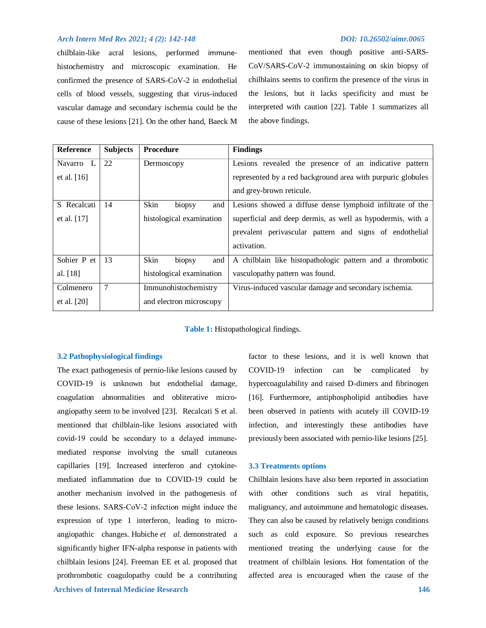chilblain-like acral lesions, performed immunehistochemistry and microscopic examination. He confirmed the presence of SARS-CoV-2 in endothelial cells of blood vessels, suggesting that virus-induced vascular damage and secondary ischemia could be the cause of these lesions [21]. On the other hand, Baeck M mentioned that even though positive anti-SARS-CoV/SARS-CoV-2 immunostaining on skin biopsy of chilblains seems to confirm the presence of the virus in the lesions, but it lacks specificity and must be interpreted with caution [22]. Table 1 summarizes all the above findings.

| <b>Reference</b> | <b>Subjects</b> | <b>Procedure</b>         | <b>Findings</b>                                             |
|------------------|-----------------|--------------------------|-------------------------------------------------------------|
| Navarro L        | 22              | Dermoscopy               | Lesions revealed the presence of an indicative pattern      |
| et al. $[16]$    |                 |                          | represented by a red background area with purpuric globules |
|                  |                 |                          | and grey-brown reticule.                                    |
| S Recalcati      | 14              | Skin<br>biopsy<br>and    | Lesions showed a diffuse dense lymphoid infiltrate of the   |
| et al. $[17]$    |                 | histological examination | superficial and deep dermis, as well as hypodermis, with a  |
|                  |                 |                          | prevalent perivascular pattern and signs of endothelial     |
|                  |                 |                          | activation.                                                 |
| Sohier P et      | 13              | Skin<br>and<br>biopsy    | A chilblain like histopathologic pattern and a thrombotic   |
| al. [18]         |                 | histological examination | vasculopathy pattern was found.                             |
| Colmenero        | $\overline{7}$  | Immunohistochemistry     | Virus-induced vascular damage and secondary ischemia.       |
| et al. $[20]$    |                 | and electron microscopy  |                                                             |

**Table 1:** Histopathological findings.

### **3.2 Pathophysiological findings**

 **Archives of Internal Medicine Research 146** The exact pathogenesis of pernio-like lesions caused by COVID-19 is unknown but endothelial damage, coagulation abnormalities and obliterative microangiopathy seem to be involved [23]. Recalcati S et al. mentioned that chilblain-like lesions associated with covid-19 could be secondary to a delayed immune‐ mediated response involving the small cutaneous capillaries [19]. Increased interferon and cytokinemediated inflammation due to COVID-19 could be another mechanism involved in the pathogenesis of these lesions. SARS‐CoV‐2 infection might induce the expression of type 1 interferon, leading to microangiopathic changes. Hubiche *et al.* demonstrated a significantly higher IFN-alpha response in patients with chilblain lesions [24]. Freeman EE et al. proposed that prothrombotic coagulopathy could be a contributing

factor to these lesions, and it is well known that COVID-19 infection can be complicated by hypercoagulability and raised D-dimers and fibrinogen [16]. Furthermore, antiphospholipid antibodies have been observed in patients with acutely ill COVID-19 infection, and interestingly these antibodies have previously been associated with pernio-like lesions [25].

### **3.3 Treatments options**

Chilblain lesions have also been reported in association with other conditions such as viral hepatitis, malignancy, and autoimmune and hematologic diseases. They can also be caused by relatively benign conditions such as cold exposure. So previous researches mentioned treating the underlying cause for the treatment of chilblain lesions. Hot fomentation of the affected area is encouraged when the cause of the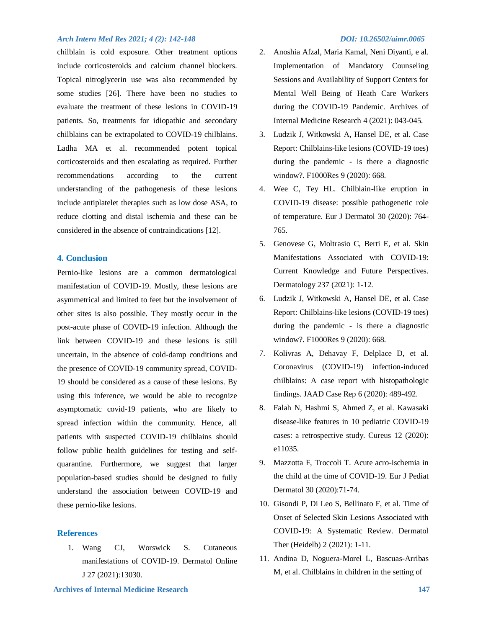chilblain is cold exposure. Other treatment options include corticosteroids and calcium channel blockers. Topical nitroglycerin use was also recommended by some studies [26]. There have been no studies to evaluate the treatment of these lesions in COVID-19 patients. So, treatments for idiopathic and secondary chilblains can be extrapolated to COVID-19 chilblains. Ladha MA et al. recommended potent topical corticosteroids and then escalating as required. Further recommendations according to the current understanding of the pathogenesis of these lesions include antiplatelet therapies such as low dose ASA, to reduce clotting and distal ischemia and these can be considered in the absence of contraindications [12].

# **4. Conclusion**

Pernio-like lesions are a common dermatological manifestation of COVID-19. Mostly, these lesions are asymmetrical and limited to feet but the involvement of other sites is also possible. They mostly occur in the post-acute phase of COVID-19 infection. Although the link between COVID-19 and these lesions is still uncertain, in the absence of cold-damp conditions and the presence of COVID-19 community spread, COVID-19 should be considered as a cause of these lesions. By using this inference, we would be able to recognize asymptomatic covid-19 patients, who are likely to spread infection within the community. Hence, all patients with suspected COVID-19 chilblains should follow public health guidelines for testing and selfquarantine. Furthermore, we suggest that larger population-based studies should be designed to fully understand the association between COVID-19 and these pernio-like lesions.

### **References**

1. Wang CJ, Worswick S. Cutaneous manifestations of COVID-19. Dermatol Online J 27 (2021):13030.

- 2. Anoshia Afzal, Maria Kamal, Neni Diyanti, e al. Implementation of Mandatory Counseling Sessions and Availability of Support Centers for Mental Well Being of Heath Care Workers during the COVID-19 Pandemic. Archives of Internal Medicine Research 4 (2021): 043-045.
- 3. Ludzik J, Witkowski A, Hansel DE, et al. Case Report: Chilblains-like lesions (COVID-19 toes) during the pandemic - is there a diagnostic window?. F1000Res 9 (2020): 668.
- 4. Wee C, Tey HL. Chilblain-like eruption in COVID-19 disease: possible pathogenetic role of temperature. Eur J Dermatol 30 (2020): 764- 765.
- 5. Genovese G, Moltrasio C, Berti E, et al. Skin Manifestations Associated with COVID-19: Current Knowledge and Future Perspectives. Dermatology 237 (2021): 1-12.
- 6. Ludzik J, Witkowski A, Hansel DE, et al. Case Report: Chilblains-like lesions (COVID-19 toes) during the pandemic - is there a diagnostic window?. F1000Res 9 (2020): 668.
- 7. Kolivras A, Dehavay F, Delplace D, et al. Coronavirus (COVID-19) infection-induced chilblains: A case report with histopathologic findings. JAAD Case Rep 6 (2020): 489-492.
- 8. Falah N, Hashmi S, Ahmed Z, et al. Kawasaki disease-like features in 10 pediatric COVID-19 cases: a retrospective study. Cureus 12 (2020): e11035.
- 9. Mazzotta F, Troccoli T. Acute acro-ischemia in the child at the time of COVID-19. Eur J Pediat Dermatol 30 (2020):71-74.
- 10. Gisondi P, Di Leo S, Bellinato F, et al. Time of Onset of Selected Skin Lesions Associated with COVID-19: A Systematic Review. Dermatol Ther (Heidelb) 2 (2021): 1-11.
- 11. Andina D, Noguera-Morel L, Bascuas-Arribas M, et al. Chilblains in children in the setting of